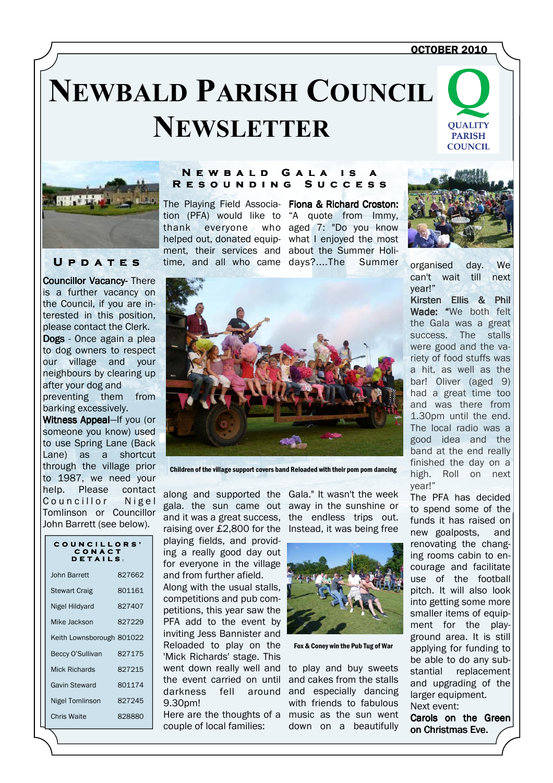#### OCTOBER 2010

# **NEWBALD PARISH COUNCIL NEWSLETTER**





## U P D A T E S

Councillor Vacancy-There is a further vacancy on the Council, if you are interested in this position, please contact the Clerk. Dogs - Once again a plea to dog owners to respect our village and your neighbours by clearing up after your dog and preventing them from barking excessively.

Witness Appeal-If you (or someone you know) used to use Spring Lane (Back Lane) as a shortcut through the village prior to 1987, we need your help. Please contact Councillor Nigel Tomlinson or Councillor John Barrett (see below).

#### COUNCILLORS' C O N A C T<br>D E T A I L S :

| John Barrett              | 827662 |
|---------------------------|--------|
| <b>Stewart Craig</b>      | 801161 |
| Nigel Hildyard            | 827407 |
| Mike Jackson              | 827229 |
| Keith Lownsborough 801022 |        |
| Beccy O'Sullivan          | 827175 |
| Mick Richards             | 827215 |
| <b>Gavin Steward</b>      | 801174 |
| Nigel Tomlinson           | 827245 |
| Chris Waite               | 828880 |

#### N E W B A L D G A L A IS R E S O U N D I N G S U C C E S S

tion (PFA) would like to "A quote from Immy, thank everyone who aged 7: "Do you know helped out, donated equip-what I enjoyed the most ment, their services and about the Summer Holitime, and all who came days?....The Summer

The Playing Field Associa- Fiona & Richard Croston:



organised day. We can't wait till next year!"

Kirsten Ellis & Phil Wade: "We both felt the Gala was a great success. The stalls were good and the variety of food stuffs was a hit, as well as the bar! Oliver (aged 9) had a great time too and was there from 1.30pm until the end. The local radio was a good idea and the band at the end really finished the day on a high. Roll on next year!"

The PFA has decided to spend some of the funds it has raised on new goalposts, and renovating the changing rooms cabin to encourage and facilitate use of the football pitch. It will also look into getting some more smaller items of equipment for the playground area. It is still applying for funding to be able to do any substantial replacement and upgrading of the larger equipment. Next event:

Carols on the Green on Christmas Eve.



Children of the village support covers band Reloaded with their pom pom dancing

along and supported the Gala." It wasn't the week gala. the sun came out away in the sunshine or and it was a great success, raising over £2,800 for the Instead, it was being free playing fields, and providing a really good day out for everyone in the village and from further afield.

Along with the usual stalls, competitions and pub competitions, this year saw the PFA add to the event by inviting Jess Bannister and Reloaded to play on the 'Mick Richards' stage. This went down really well and the event carried on until darkness fell around 9.30pm!

Here are the thoughts of a music as the sun went couple of local families:

the endless trips out.



Fox & Coney win the Pub Tug of War

to play and buy sweets and cakes from the stalls and especially dancing with friends to fabulous down on a beautifully